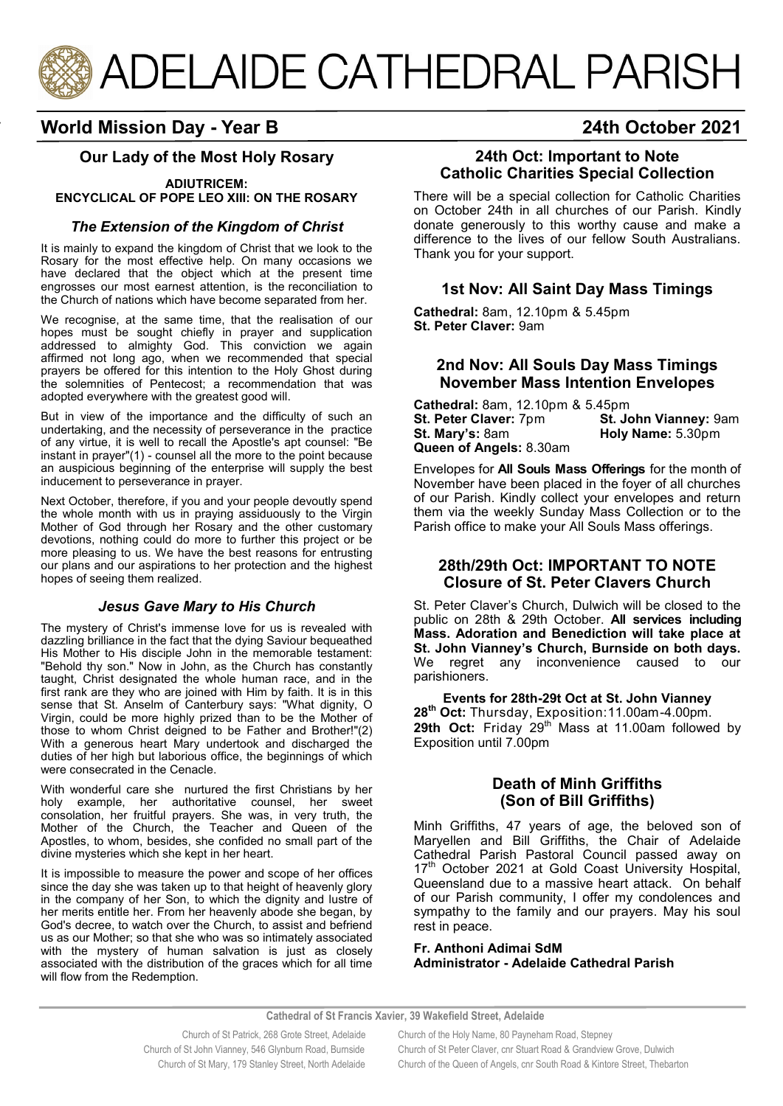

# **World Mission Day - Year B 24th October 2021**

You may

Logs are

**observed in determining the total numbers** 

No collection plates or hymn books are to be passed

Collection plates will not be passed around but a

## **Our Lady of the Most Holy Rosary**

#### **ADIUTRICEM: ENCYCLICAL OF POPE LEO XIII: ON THE ROSARY**

#### *The Extension of the Kingdom of Christ*

It is mainly to expand the kingdom of Christ that we look to the Rosary for the most effective help. On many occasions we have declared that the object which at the present time engrosses our most earnest attention, is the reconciliation to the Church of nations which have become separated from her.

We recognise, at the same time, that the realisation of our hopes must be sought chiefly in prayer and supplication addressed to almighty God. This conviction we again affirmed not long ago, when we recommended that special prayers be offered for this intention to the Holy Ghost during the solemnities of Pentecost; a recommendation that was adopted everywhere with the greatest good will.

But in view of the importance and the difficulty of such an undertaking, and the necessity of perseverance in the practice of any virtue, it is well to recall the Apostle's apt counsel: "Be instant in prayer"(1) - counsel all the more to the point because an auspicious beginning of the enterprise will supply the best inducement to perseverance in prayer.

Next October, therefore, if you and your people devoutly spend the whole month with us in praying assiduously to the Virgin Mother of God through her Rosary and the other customary devotions, nothing could do more to further this project or be more pleasing to us. We have the best reasons for entrusting our plans and our aspirations to her protection and the highest hopes of seeing them realized.

#### *Jesus Gave Mary to His Church*

The mystery of Christ's immense love for us is revealed with dazzling brilliance in the fact that the dying Saviour bequeathed His Mother to His disciple John in the memorable testament: "Behold thy son." Now in John, as the Church has constantly taught, Christ designated the whole human race, and in the first rank are they who are joined with Him by faith. It is in this sense that St. Anselm of Canterbury says: "What dignity, O Virgin, could be more highly prized than to be the Mother of those to whom Christ deigned to be Father and Brother!"(2) With a generous heart Mary undertook and discharged the duties of her high but laborious office, the beginnings of which were consecrated in the Cenacle.

With wonderful care she nurtured the first Christians by her holy example, her authoritative counsel, her sweet consolation, her fruitful prayers. She was, in very truth, the Mother of the Church, the Teacher and Queen of the Apostles, to whom, besides, she confided no small part of the divine mysteries which she kept in her heart.

It is impossible to measure the power and scope of her offices since the day she was taken up to that height of heavenly glory in the company of her Son, to which the dignity and lustre of her merits entitle her. From her heavenly abode she began, by God's decree, to watch over the Church, to assist and befriend us as our Mother; so that she who was so intimately associated with the mystery of human salvation is just as closely associated with the distribution of the graces which for all time will flow from the Redemption.

## **24th Oct: Important to Note Catholic Charities Special Collection**

There will be a special collection for Catholic Charities on October 24th in all churches of our Parish. Kindly donate generously to this worthy cause and make a difference to the lives of our fellow South Australians. Thank you for your support.

## **1st Nov: All Saint Day Mass Timings**

**Cathedral:** 8am, 12.10pm & 5.45pm **St. Peter Claver:** 9am

## **2nd Nov: All Souls Day Mass Timings November Mass Intention Envelopes**

**Cathedral:** 8am, 12.10pm & 5.45pm **St. Peter Claver:** 7pm **St. John Vianney:** 9am<br>**St. Mary's:** 8am **Holy Name:** 5.30pm **St. Mary's:** 8am **Holy Name:** 5.30pm **Queen of Angels:** 8.30am

Envelopes for **All Souls Mass Offerings** for the month of November have been placed in the foyer of all churches of our Parish. Kindly collect your envelopes and return them via the weekly Sunday Mass Collection or to the Parish office to make your All Souls Mass offerings.

#### **28th/29th Oct: IMPORTANT TO NOTE Closure of St. Peter Clavers Church**

St. Peter Claver's Church, Dulwich will be closed to the public on 28th & 29th October. **All services including Mass. Adoration and Benediction will take place at St. John Vianney's Church, Burnside on both days.**  We regret any inconvenience caused to our parishioners.

**Events for 28th-29t Oct at St. John Vianney 28th Oct:** Thursday, Exposition:11.00am-4.00pm. 29th Oct: Friday 29<sup>th</sup> Mass at 11.00am followed by Exposition until 7.00pm

## **Death of Minh Griffiths (Son of Bill Griffiths)**

Minh Griffiths, 47 years of age, the beloved son of Maryellen and Bill Griffiths, the Chair of Adelaide Cathedral Parish Pastoral Council passed away on 17<sup>th</sup> October 2021 at Gold Coast University Hospital, Queensland due to a massive heart attack. On behalf of our Parish community, I offer my condolences and sympathy to the family and our prayers. May his soul rest in peace.

**Fr. Anthoni Adimai SdM Administrator - Adelaide Cathedral Parish**

**Cathedral of St Francis Xavier, 39 Wakefield Street, Adelaide**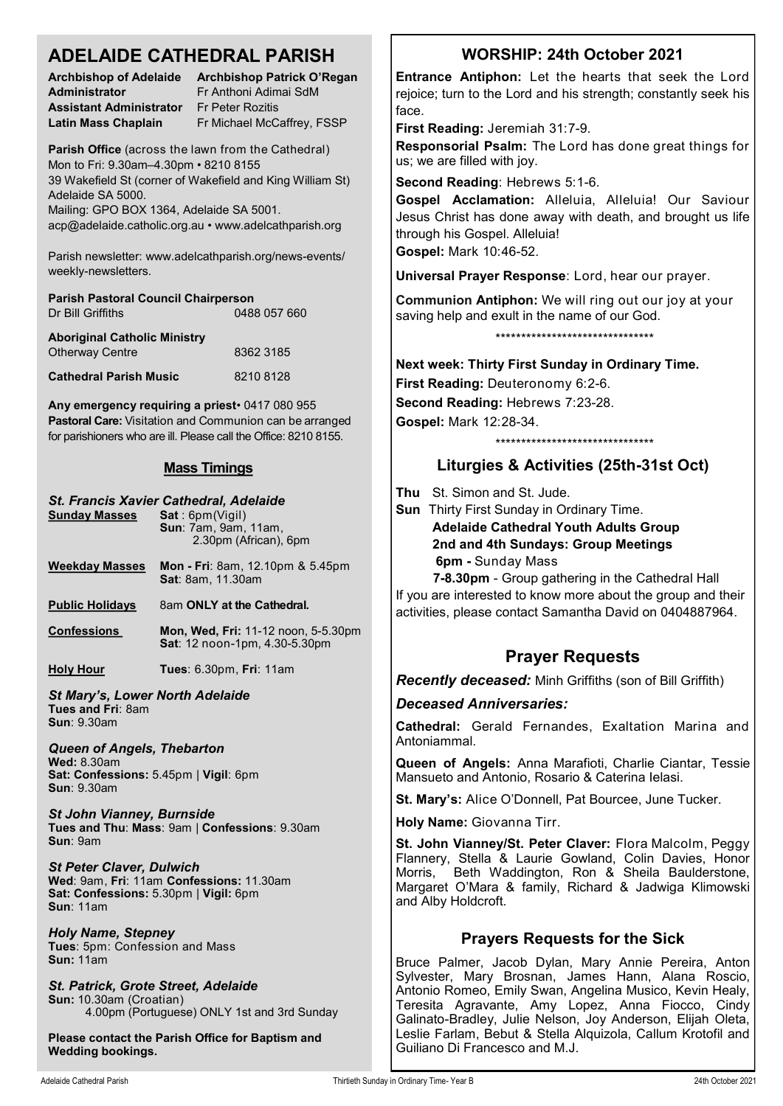## **ADELAIDE CATHEDRAL PARISH**

**Administrator** Fr Anthoni Adimai SdM **Assistant Administrator** Fr Peter Rozitis

**Archbishop of Adelaide Archbishop Patrick O'Regan**  Latin Mass Chaplain Fr Michael McCaffrey, FSSP

**Parish Office** (across the lawn from the Cathedral) Mon to Fri: 9.30am–4.30pm • 8210 8155 39 Wakefield St (corner of Wakefield and King William St) Adelaide SA 5000.

Mailing: GPO BOX 1364, Adelaide SA 5001. acp@adelaide.catholic.org.au • www.adelcathparish.org

Parish newsletter: www.adelcathparish.org/news-events/ weekly-newsletters.

| <b>Parish Pastoral Council Chairperson</b>                    |              |
|---------------------------------------------------------------|--------------|
| Dr Bill Griffiths                                             | 0488 057 660 |
| <b>Aboriginal Catholic Ministry</b><br><b>Otherway Centre</b> | 8362 3185    |

**Cathedral Parish Music** 8210 8128

**Any emergency requiring a priest**• 0417 080 955 **Pastoral Care:** Visitation and Communion can be arranged for parishioners who are ill. Please call the Office: 8210 8155.

## **Mass Timings**

| <b>Sunday Masses</b>                                                                                                                     | St. Francis Xavier Cathedral, Adelaide<br>Sat: 6pm(Vigil)<br>Sun: 7am, 9am, 11am,<br>2.30pm (African), 6pm |  |
|------------------------------------------------------------------------------------------------------------------------------------------|------------------------------------------------------------------------------------------------------------|--|
| <b>Weekday Masses</b>                                                                                                                    | Mon - Fri: 8am, 12.10pm & 5.45pm<br><b>Sat: 8am, 11.30am</b>                                               |  |
| <b>Public Holidays</b>                                                                                                                   | 8am ONLY at the Cathedral.                                                                                 |  |
| <b>Confessions</b>                                                                                                                       | Mon, Wed, Fri: 11-12 noon, 5-5.30pm<br>Sat: 12 noon-1pm, 4.30-5.30pm                                       |  |
| <b>Holy Hour</b>                                                                                                                         | <b>Tues: 6.30pm, Fri: 11am</b>                                                                             |  |
| <b>St Mary's, Lower North Adelaide</b><br>Tues and Fri: 8am<br><b>Sun: 9.30am</b>                                                        |                                                                                                            |  |
| <b>Queen of Angels, Thebarton</b><br><b>Wed: 8.30am</b><br>Sat: Confessions: 5.45pm   Vigil: 6pm<br><b>Sun: 9.30am</b>                   |                                                                                                            |  |
| <b>St John Vianney, Burnside</b><br>Tues and Thu: Mass: 9am   Confessions: 9.30am<br>Sun: 9am                                            |                                                                                                            |  |
| <b>St Peter Claver, Dulwich</b><br>Wed: 9am, Fri: 11am Confessions: 11.30am<br>Sat: Confessions: 5.30pm   Vigil: 6pm<br><b>Sun: 11am</b> |                                                                                                            |  |
| <b>Holy Name, Stepney</b><br>Tues: 5pm: Confession and Mass<br><b>Sun: 11am</b>                                                          |                                                                                                            |  |

*St. Patrick, Grote Street, Adelaide* **Sun:** 10.30am (Croatian) 4.00pm (Portuguese) ONLY 1st and 3rd Sunday

**Please contact the Parish Office for Baptism and Wedding bookings.**

# **WORSHIP: 24th October 2021**

**Entrance Antiphon:** Let the hearts that seek the Lord rejoice; turn to the Lord and his strength; constantly seek his face.

**First Reading:** Jeremiah 31:7-9.

**Responsorial Psalm:** The Lord has done great things for us; we are filled with joy.

**Second Reading**: Hebrews 5:1-6.

**Gospel Acclamation:** Alleluia, Alleluia! Our Saviour Jesus Christ has done away with death, and brought us life through his Gospel. Alleluia! **Gospel:** Mark 10:46-52.

**Universal Prayer Response**: Lord, hear our prayer.

**Communion Antiphon:** We will ring out our joy at your saving help and exult in the name of our God.

\*\*\*\*\*\*\*\*\*\*\*\*\*\*\*\*\*\*\*\*\*\*\*\*\*\*\*\*\*\*\*

**Next week: Thirty First Sunday in Ordinary Time. First Reading:** Deuteronomy 6:2-6. **Second Reading:** Hebrews 7:23-28. **Gospel:** Mark 12:28-34.

## \*\*\*\*\*\*\*\*\*\*\*\*\*\*\*\*\*\*\*\*\*\*\*\*\*\*\*\*\*\*\*

## **Liturgies & Activities (25th-31st Oct)**

**Thu** St. Simon and St. Jude.

**Sun** Thirty First Sunday in Ordinary Time. **Adelaide Cathedral Youth Adults Group 2nd and 4th Sundays: Group Meetings 6pm -** Sunday Mass

**7-8.30pm** - Group gathering in the Cathedral Hall If you are interested to know more about the group and their activities, please contact Samantha David on 0404887964.

## **Prayer Requests**

*Recently deceased:* Minh Griffiths (son of Bill Griffith)

*Deceased Anniversaries:*

**Cathedral:** Gerald Fernandes, Exaltation Marina and Antoniammal.

**Queen of Angels:** Anna Marafioti, Charlie Ciantar, Tessie Mansueto and Antonio, Rosario & Caterina Ielasi.

**St. Mary's:** Alice O'Donnell, Pat Bourcee, June Tucker.

**Holy Name:** Giovanna Tirr.

**St. John Vianney/St. Peter Claver:** Flora Malcolm, Peggy Flannery, Stella & Laurie Gowland, Colin Davies, Honor Morris, Beth Waddington, Ron & Sheila Baulderstone, Margaret O'Mara & family, Richard & Jadwiga Klimowski and Alby Holdcroft.

## **Prayers Requests for the Sick**

Bruce Palmer, Jacob Dylan, Mary Annie Pereira, Anton Sylvester, Mary Brosnan, James Hann, Alana Roscio, Antonio Romeo, Emily Swan, Angelina Musico, Kevin Healy, Teresita Agravante, Amy Lopez, Anna Fiocco, Cindy Galinato-Bradley, Julie Nelson, Joy Anderson, Elijah Oleta, Leslie Farlam, Bebut & Stella Alquizola, Callum Krotofil and Guiliano Di Francesco and M.J.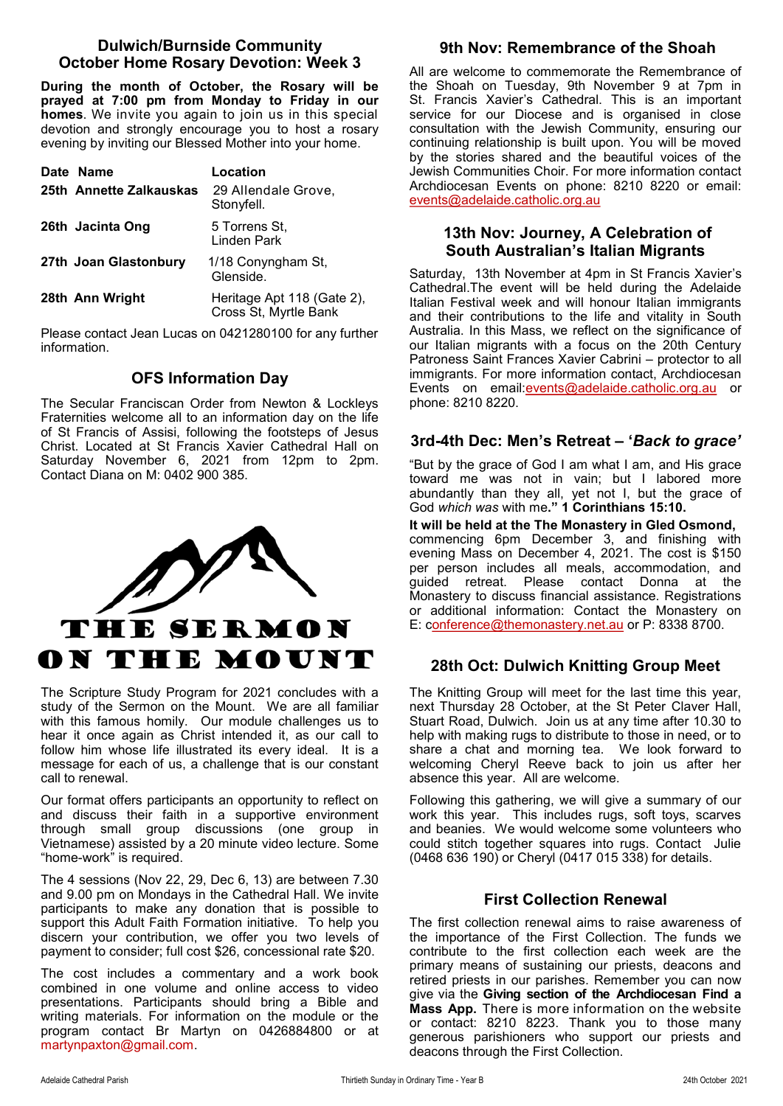## **Dulwich/Burnside Community October Home Rosary Devotion: Week 3**

**During the month of October, the Rosary will be prayed at 7:00 pm from Monday to Friday in our homes**. We invite you again to join us in this special devotion and strongly encourage you to host a rosary evening by inviting our Blessed Mother into your home.

| Date Name               | Location                                            |
|-------------------------|-----------------------------------------------------|
| 25th Annette Zalkauskas | 29 Allendale Grove,<br>Stonyfell.                   |
| 26th Jacinta Ong        | 5 Torrens St.<br>Linden Park                        |
| 27th Joan Glastonbury   | 1/18 Conyngham St,<br>Glenside.                     |
| 28th Ann Wright         | Heritage Apt 118 (Gate 2),<br>Cross St, Myrtle Bank |

Please contact Jean Lucas on 0421280100 for any further information.

## **OFS Information Day**

The Secular Franciscan Order from Newton & Lockleys Fraternities welcome all to an information day on the life of St Francis of Assisi, following the footsteps of Jesus Christ. Located at St Francis Xavier Cathedral Hall on Saturday November 6, 2021 from 12pm to 2pm. Contact Diana on M: 0402 900 385.



The Scripture Study Program for 2021 concludes with a study of the Sermon on the Mount. We are all familiar with this famous homily. Our module challenges us to hear it once again as Christ intended it, as our call to follow him whose life illustrated its every ideal. It is a message for each of us, a challenge that is our constant call to renewal.

Our format offers participants an opportunity to reflect on and discuss their faith in a supportive environment through small group discussions (one group in Vietnamese) assisted by a 20 minute video lecture. Some "home-work" is required.

The 4 sessions (Nov 22, 29, Dec 6, 13) are between 7.30 and 9.00 pm on Mondays in the Cathedral Hall. We invite participants to make any donation that is possible to support this Adult Faith Formation initiative. To help you discern your contribution, we offer you two levels of payment to consider; full cost \$26, concessional rate \$20.

The cost includes a commentary and a work book combined in one volume and online access to video presentations. Participants should bring a Bible and writing materials. For information on the module or the program contact Br Martyn on 0426884800 or at martynpaxton@gmail.com.

## **9th Nov: Remembrance of the Shoah**

All are welcome to commemorate the Remembrance of the Shoah on Tuesday, 9th November 9 at 7pm in St. Francis Xavier's Cathedral. This is an important service for our Diocese and is organised in close consultation with the Jewish Community, ensuring our continuing relationship is built upon. You will be moved by the stories shared and the beautiful voices of the Jewish Communities Choir. For more information contact Archdiocesan Events on phone: 8210 8220 or email: [events@adelaide.catholic.org.au](mailto:events@adelaide.catholic.org.au)

## **13th Nov: Journey, A Celebration of South Australian's Italian Migrants**

Saturday, 13th November at 4pm in St Francis Xavier's Cathedral.The event will be held during the Adelaide Italian Festival week and will honour Italian immigrants and their contributions to the life and vitality in South Australia. In this Mass, we reflect on the significance of our Italian migrants with a focus on the 20th Century Patroness Saint Frances Xavier Cabrini – protector to all immigrants. For more information contact, Archdiocesan Events on email:[events@adelaide.catholic.org.au](mailto:events@adelaide.catholic.org.au) or phone: 8210 8220.

## **3rd-4th Dec: Men's Retreat – '***Back to grace'*

"But by the grace of God I am what I am, and His grace toward me was not in vain; but I labored more abundantly than they all, yet not I, but the grace of God *which was* with me**." 1 Corinthians 15:10.**

**It will be held at the The Monastery in Gled Osmond,** commencing 6pm December 3, and finishing with evening Mass on December 4, 2021. The cost is \$150 per person includes all meals, accommodation, and guided retreat. Please contact Donna at the Monastery to discuss financial assistance. Registrations or additional information: Contact the Monastery on E: c[onference@themonastery.net.au](mailto:Conference@themonastery.net.au) or P: 8338 8700.

## **28th Oct: Dulwich Knitting Group Meet**

The Knitting Group will meet for the last time this year, next Thursday 28 October, at the St Peter Claver Hall, Stuart Road, Dulwich. Join us at any time after 10.30 to help with making rugs to distribute to those in need, or to share a chat and morning tea. We look forward to welcoming Cheryl Reeve back to join us after her absence this year. All are welcome.

Following this gathering, we will give a summary of our work this year. This includes rugs, soft toys, scarves and beanies. We would welcome some volunteers who could stitch together squares into rugs. Contact Julie (0468 636 190) or Cheryl (0417 015 338) for details.

## **First Collection Renewal**

The first collection renewal aims to raise awareness of the importance of the First Collection. The funds we contribute to the first collection each week are the primary means of sustaining our priests, deacons and retired priests in our parishes. Remember you can now give via the **Giving section of the Archdiocesan Find a Mass App.** There is more information on the website or contact: 8210 8223. Thank you to those many generous parishioners who support our priests and deacons through the First Collection.